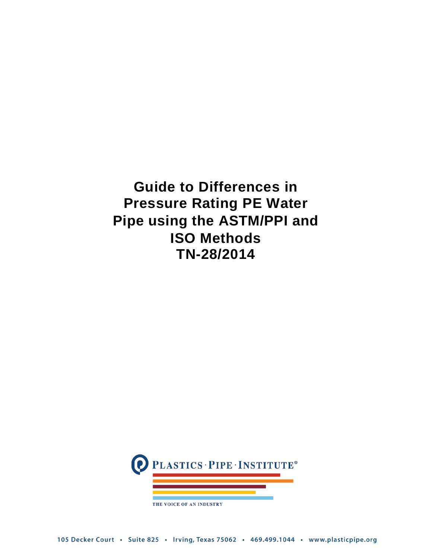**Guide to Differences in Pressure Rating PE Water Pipe using the ASTM/PPI and ISO Methods TN-28/2014**

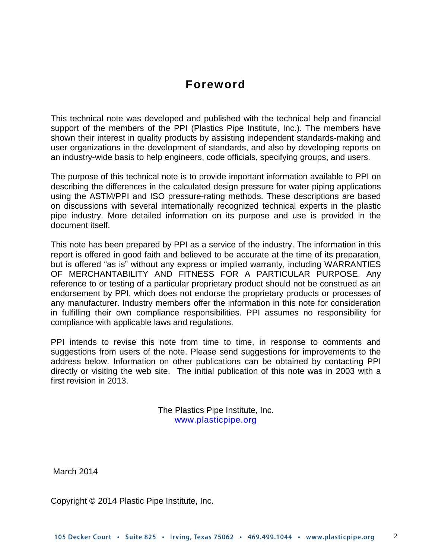# **Foreword**

This technical note was developed and published with the technical help and financial support of the members of the PPI (Plastics Pipe Institute, Inc.). The members have shown their interest in quality products by assisting independent standards-making and user organizations in the development of standards, and also by developing reports on an industry-wide basis to help engineers, code officials, specifying groups, and users.

The purpose of this technical note is to provide important information available to PPI on describing the differences in the calculated design pressure for water piping applications using the ASTM/PPI and ISO pressure-rating methods. These descriptions are based on discussions with several internationally recognized technical experts in the plastic pipe industry. More detailed information on its purpose and use is provided in the document itself.

This note has been prepared by PPI as a service of the industry. The information in this report is offered in good faith and believed to be accurate at the time of its preparation, but is offered "as is" without any express or implied warranty, including WARRANTIES OF MERCHANTABILITY AND FITNESS FOR A PARTICULAR PURPOSE. Any reference to or testing of a particular proprietary product should not be construed as an endorsement by PPI, which does not endorse the proprietary products or processes of any manufacturer. Industry members offer the information in this note for consideration in fulfilling their own compliance responsibilities. PPI assumes no responsibility for compliance with applicable laws and regulations.

PPI intends to revise this note from time to time, in response to comments and suggestions from users of the note. Please send suggestions for improvements to the address below. Information on other publications can be obtained by contacting PPI directly or visiting the web site. The initial publication of this note was in 2003 with a first revision in 2013.

> The Plastics Pipe Institute, Inc. [www.plasticpipe.org](http://www.plasticpipe.org/)

March 2014

Copyright © 2014 Plastic Pipe Institute, Inc.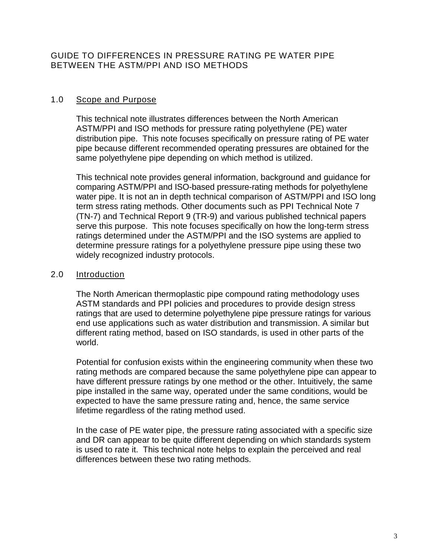GUIDE TO DIFFERENCES IN PRESSURE RATING PE WATER PIPE BETWEEN THE ASTM/PPI AND ISO METHODS

#### 1.0 Scope and Purpose

This technical note illustrates differences between the North American ASTM/PPI and ISO methods for pressure rating polyethylene (PE) water distribution pipe. This note focuses specifically on pressure rating of PE water pipe because different recommended operating pressures are obtained for the same polyethylene pipe depending on which method is utilized.

This technical note provides general information, background and guidance for comparing ASTM/PPI and ISO-based pressure-rating methods for polyethylene water pipe. It is not an in depth technical comparison of ASTM/PPI and ISO long term stress rating methods. Other documents such as PPI Technical Note 7 (TN-7) and Technical Report 9 (TR-9) and various published technical papers serve this purpose. This note focuses specifically on how the long-term stress ratings determined under the ASTM/PPI and the ISO systems are applied to determine pressure ratings for a polyethylene pressure pipe using these two widely recognized industry protocols.

## 2.0 Introduction

The North American thermoplastic pipe compound rating methodology uses ASTM standards and PPI policies and procedures to provide design stress ratings that are used to determine polyethylene pipe pressure ratings for various end use applications such as water distribution and transmission. A similar but different rating method, based on ISO standards, is used in other parts of the world.

Potential for confusion exists within the engineering community when these two rating methods are compared because the same polyethylene pipe can appear to have different pressure ratings by one method or the other. Intuitively, the same pipe installed in the same way, operated under the same conditions, would be expected to have the same pressure rating and, hence, the same service lifetime regardless of the rating method used.

In the case of PE water pipe, the pressure rating associated with a specific size and DR can appear to be quite different depending on which standards system is used to rate it. This technical note helps to explain the perceived and real differences between these two rating methods.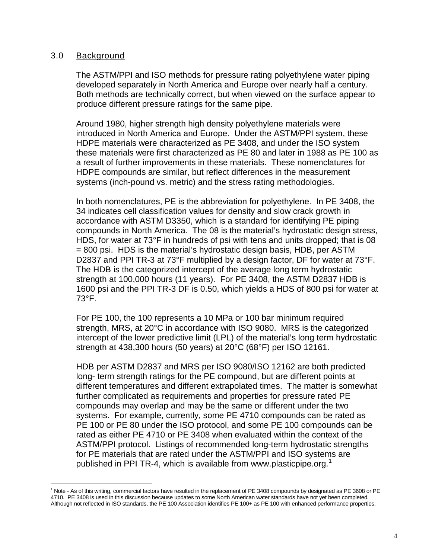#### 3.0 Background

 $\overline{a}$ 

The ASTM/PPI and ISO methods for pressure rating polyethylene water piping developed separately in North America and Europe over nearly half a century. Both methods are technically correct, but when viewed on the surface appear to produce different pressure ratings for the same pipe.

Around 1980, higher strength high density polyethylene materials were introduced in North America and Europe. Under the ASTM/PPI system, these HDPE materials were characterized as PE 3408, and under the ISO system these materials were first characterized as PE 80 and later in 1988 as PE 100 as a result of further improvements in these materials. These nomenclatures for HDPE compounds are similar, but reflect differences in the measurement systems (inch-pound vs. metric) and the stress rating methodologies.

In both nomenclatures, PE is the abbreviation for polyethylene. In PE 3408, the 34 indicates cell classification values for density and slow crack growth in accordance with ASTM D3350, which is a standard for identifying PE piping compounds in North America. The 08 is the material's hydrostatic design stress, HDS, for water at 73°F in hundreds of psi with tens and units dropped; that is 08 = 800 psi. HDS is the material's hydrostatic design basis, HDB, per ASTM D2837 and PPI TR-3 at 73°F multiplied by a design factor, DF for water at 73°F. The HDB is the categorized intercept of the average long term hydrostatic strength at 100,000 hours (11 years). For PE 3408, the ASTM D2837 HDB is 1600 psi and the PPI TR-3 DF is 0.50, which yields a HDS of 800 psi for water at 73°F.

For PE 100, the 100 represents a 10 MPa or 100 bar minimum required strength, MRS, at 20°C in accordance with ISO 9080. MRS is the categorized intercept of the lower predictive limit (LPL) of the material's long term hydrostatic strength at 438,300 hours (50 years) at 20°C (68°F) per ISO 12161.

HDB per ASTM D2837 and MRS per ISO 9080/ISO 12162 are both predicted long- term strength ratings for the PE compound, but are different points at different temperatures and different extrapolated times. The matter is somewhat further complicated as requirements and properties for pressure rated PE compounds may overlap and may be the same or different under the two systems. For example, currently, some PE 4710 compounds can be rated as PE 100 or PE 80 under the ISO protocol, and some PE 100 compounds can be rated as either PE 4710 or PE 3408 when evaluated within the context of the ASTM/PPI protocol. Listings of recommended long-term hydrostatic strengths for PE materials that are rated under the ASTM/PPI and ISO systems are published in PPI TR-4, which is available from www.plasticpipe.org.<sup>[1](#page-3-0)</sup>

<span id="page-3-0"></span> $1$  Note - As of this writing, commercial factors have resulted in the replacement of PE 3408 compounds by designated as PE 3608 or PE 4710. PE 3408 is used in this discussion because updates to some North American water standards have not yet been completed. Although not reflected in ISO standards, the PE 100 Association identifies PE 100+ as PE 100 with enhanced performance properties.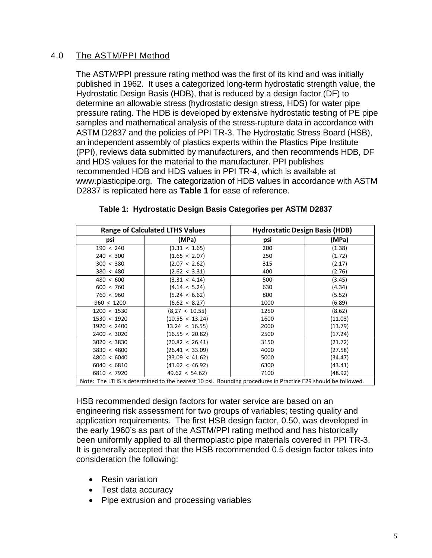# 4.0 The ASTM/PPI Method

The ASTM/PPI pressure rating method was the first of its kind and was initially published in 1962. It uses a categorized long-term hydrostatic strength value, the Hydrostatic Design Basis (HDB), that is reduced by a design factor (DF) to determine an allowable stress (hydrostatic design stress, HDS) for water pipe pressure rating. The HDB is developed by extensive hydrostatic testing of PE pipe samples and mathematical analysis of the stress-rupture data in accordance with ASTM D2837 and the policies of PPI TR-3. The Hydrostatic Stress Board (HSB), an independent assembly of plastics experts within the Plastics Pipe Institute (PPI), reviews data submitted by manufacturers, and then recommends HDB, DF and HDS values for the material to the manufacturer. PPI publishes recommended HDB and HDS values in PPI TR-4, which is available at [www.plasticpipe.org.](http://www.plasticpipe.org/) The categorization of HDB values in accordance with ASTM D2837 is replicated here as **Table 1** for ease of reference.

| <b>Range of Calculated LTHS Values</b> |                                                                                                             | <b>Hydrostatic Design Basis (HDB)</b> |         |
|----------------------------------------|-------------------------------------------------------------------------------------------------------------|---------------------------------------|---------|
| psi                                    | (MPa)                                                                                                       | psi                                   | (MPa)   |
| 190 < 240                              | $(1.31 \times 1.65)$                                                                                        | 200                                   | (1.38)  |
| 240 < 300                              | (1.65 < 2.07)                                                                                               | 250                                   | (1.72)  |
| 300 < 380                              | (2.07 < 2.62)                                                                                               | 315                                   | (2.17)  |
| 380 < 480                              | (2.62 < 3.31)                                                                                               | 400                                   | (2.76)  |
| 480 < 600                              | (3.31 < 4.14)                                                                                               | 500                                   | (3.45)  |
| 600 < 760                              | (4.14 < 5.24)                                                                                               | 630                                   | (4.34)  |
| 760 < 960                              | (5.24 < 6.62)                                                                                               | 800                                   | (5.52)  |
| 960 < 1200                             | (6.62 < 8.27)                                                                                               | 1000                                  | (6.89)  |
| 1200 < 1530                            | (8,27 < 10.55)                                                                                              | 1250                                  | (8.62)  |
| 1530 < 1920                            | (10.55 < 13.24)                                                                                             | 1600                                  | (11.03) |
| 1920 < 2400                            | $13.24 \times 16.55$                                                                                        | 2000                                  | (13.79) |
| 2400 < 3020                            | (16.55 < 20.82)                                                                                             | 2500                                  | (17.24) |
| 3020 < 3830                            | (20.82 < 26.41)                                                                                             | 3150                                  | (21.72) |
| 3830 < 4800                            | (26.41 < 33.09)                                                                                             | 4000                                  | (27.58) |
| 4800 < 6040                            | (33.09 < 41.62)                                                                                             | 5000                                  | (34.47) |
| 6040 < 6810                            | (41.62 < 46.92)                                                                                             | 6300                                  | (43.41) |
| 6810 < 7920                            | 49.62 < 54.62                                                                                               | 7100                                  | (48.92) |
|                                        | Note: The LTHS is determined to the nearest 10 psi. Rounding procedures in Practice E29 should be followed. |                                       |         |

#### **Table 1: Hydrostatic Design Basis Categories per ASTM D2837**

HSB recommended design factors for water service are based on an engineering risk assessment for two groups of variables; testing quality and application requirements. The first HSB design factor, 0.50, was developed in the early 1960's as part of the ASTM/PPI rating method and has historically been uniformly applied to all thermoplastic pipe materials covered in PPI TR-3. It is generally accepted that the HSB recommended 0.5 design factor takes into consideration the following:

- Resin variation
- Test data accuracy
- Pipe extrusion and processing variables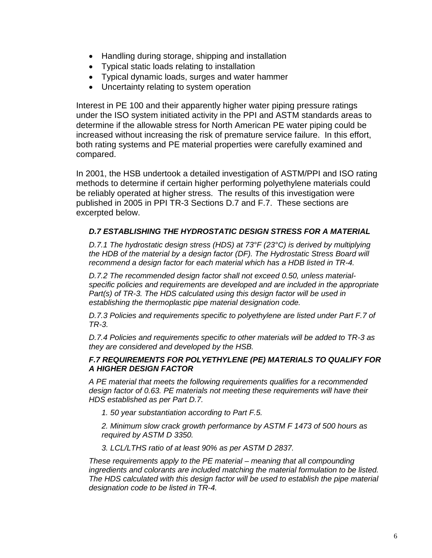- Handling during storage, shipping and installation
- Typical static loads relating to installation
- Typical dynamic loads, surges and water hammer
- Uncertainty relating to system operation

Interest in PE 100 and their apparently higher water piping pressure ratings under the ISO system initiated activity in the PPI and ASTM standards areas to determine if the allowable stress for North American PE water piping could be increased without increasing the risk of premature service failure. In this effort, both rating systems and PE material properties were carefully examined and compared.

In 2001, the HSB undertook a detailed investigation of ASTM/PPI and ISO rating methods to determine if certain higher performing polyethylene materials could be reliably operated at higher stress. The results of this investigation were published in 2005 in PPI TR-3 Sections D.7 and F.7. These sections are excerpted below.

## *D.7 ESTABLISHING THE HYDROSTATIC DESIGN STRESS FOR A MATERIAL*

*D.7.1 The hydrostatic design stress (HDS) at 73°F (23°C) is derived by multiplying the HDB of the material by a design factor (DF). The Hydrostatic Stress Board will recommend a design factor for each material which has a HDB listed in TR-4.*

*D.7.2 The recommended design factor shall not exceed 0.50, unless materialspecific policies and requirements are developed and are included in the appropriate Part(s) of TR-3. The HDS calculated using this design factor will be used in establishing the thermoplastic pipe material designation code.*

*D.7.3 Policies and requirements specific to polyethylene are listed under Part F.7 of TR-3.*

*D.7.4 Policies and requirements specific to other materials will be added to TR-3 as they are considered and developed by the HSB.*

#### *F.7 REQUIREMENTS FOR POLYETHYLENE (PE) MATERIALS TO QUALIFY FOR A HIGHER DESIGN FACTOR*

*A PE material that meets the following requirements qualifies for a recommended design factor of 0.63. PE materials not meeting these requirements will have their HDS established as per Part D.7.*

*1. 50 year substantiation according to Part F.5.*

*2. Minimum slow crack growth performance by ASTM F 1473 of 500 hours as required by ASTM D 3350.*

*3. LCL/LTHS ratio of at least 90% as per ASTM D 2837.*

*These requirements apply to the PE material – meaning that all compounding ingredients and colorants are included matching the material formulation to be listed. The HDS calculated with this design factor will be used to establish the pipe material designation code to be listed in TR-4.*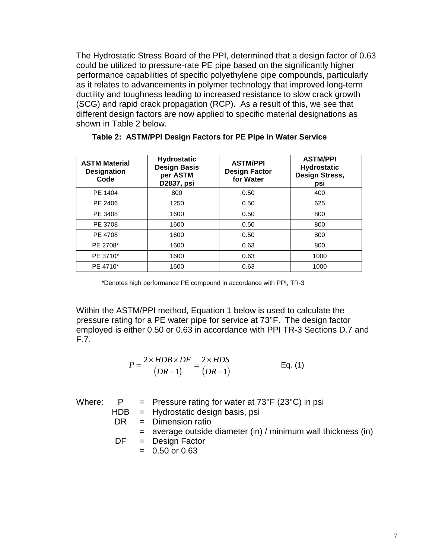The Hydrostatic Stress Board of the PPI, determined that a design factor of 0.63 could be utilized to pressure-rate PE pipe based on the significantly higher performance capabilities of specific polyethylene pipe compounds, particularly as it relates to advancements in polymer technology that improved long-term ductility and toughness leading to increased resistance to slow crack growth (SCG) and rapid crack propagation (RCP). As a result of this, we see that different design factors are now applied to specific material designations as shown in Table 2 below.

| <b>ASTM Material</b><br><b>Designation</b><br>Code | <b>Hydrostatic</b><br><b>Design Basis</b><br>per ASTM<br>D2837, psi | <b>ASTM/PPI</b><br><b>Design Factor</b><br>for Water | <b>ASTM/PPI</b><br><b>Hydrostatic</b><br>Design Stress,<br>psi |
|----------------------------------------------------|---------------------------------------------------------------------|------------------------------------------------------|----------------------------------------------------------------|
| PE 1404                                            | 800                                                                 | 0.50                                                 | 400                                                            |
| PE 2406                                            | 1250                                                                | 0.50                                                 | 625                                                            |
| PE 3408                                            | 1600                                                                | 0.50                                                 | 800                                                            |
| PE 3708                                            | 1600                                                                | 0.50                                                 | 800                                                            |
| PE 4708                                            | 1600                                                                | 0.50                                                 | 800                                                            |
| PE 2708*                                           | 1600                                                                | 0.63                                                 | 800                                                            |
| PE 3710*                                           | 1600                                                                | 0.63                                                 | 1000                                                           |
| PE 4710*                                           | 1600                                                                | 0.63                                                 | 1000                                                           |

**Table 2: ASTM/PPI Design Factors for PE Pipe in Water Service**

\*Denotes high performance PE compound in accordance with PPI, TR-3

Within the ASTM/PPI method, Equation 1 below is used to calculate the pressure rating for a PE water pipe for service at 73°F. The design factor employed is either 0.50 or 0.63 in accordance with PPI TR-3 Sections D.7 and F.7.

$$
P = \frac{2 \times HDB \times DF}{(DR-1)} = \frac{2 \times HDS}{(DR-1)}
$$
 Eq. (1)

| Where: | P   | = Pressure rating for water at $73^{\circ}F$ (23 $^{\circ}C$ ) in psi |
|--------|-----|-----------------------------------------------------------------------|
|        |     | $HDB = Hydrostatic$ design basis, psi                                 |
|        | DR. | = Dimension ratio                                                     |
|        |     | $=$ average outside diameter (in) / minimum wall thickness (in)       |
|        |     | $DF = Design Factor$                                                  |
|        |     | $= 0.50$ or 0.63                                                      |
|        |     |                                                                       |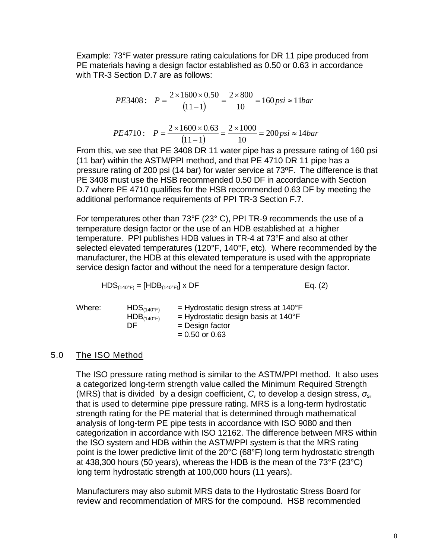Example: 73°F water pressure rating calculations for DR 11 pipe produced from PE materials having a design factor established as 0.50 or 0.63 in accordance with TR-3 Section D.7 are as follows:

$$
PE3408: \quad P = \frac{2 \times 1600 \times 0.50}{(11-1)} = \frac{2 \times 800}{10} = 160 \, \text{psi} \approx 11 \, \text{bar}
$$
\n
$$
PE4710: \quad P = \frac{2 \times 1600 \times 0.63}{(11-1)} = \frac{2 \times 1000}{10} = 200 \, \text{psi} \approx 14 \, \text{bar}
$$

From this, we see that PE 3408 DR 11 water pipe has a pressure rating of 160 psi (11 bar) within the ASTM/PPI method, and that PE 4710 DR 11 pipe has a pressure rating of 200 psi (14 bar) for water service at 73ºF. The difference is that PE 3408 must use the HSB recommended 0.50 DF in accordance with Section D.7 where PE 4710 qualifies for the HSB recommended 0.63 DF by meeting the additional performance requirements of PPI TR-3 Section F.7.

For temperatures other than 73°F (23° C), PPI TR-9 recommends the use of a temperature design factor or the use of an HDB established at a higher temperature. PPI publishes HDB values in TR-4 at 73°F and also at other selected elevated temperatures (120°F, 140°F, etc). Where recommended by the manufacturer, the HDB at this elevated temperature is used with the appropriate service design factor and without the need for a temperature design factor.

$$
\text{HDS}_{(140^\circ\text{F})} = [\text{HDB}_{(140^\circ\text{F})}] \times \text{DF} \qquad \qquad \text{Eq. (2)}
$$

| Where: | HDS <sub>(140°F)</sub><br>$HDB$ <sub>(140°F)</sub> | $=$ Hydrostatic design stress at 140 $\degree$ F<br>$=$ Hydrostatic design basis at 140 $\degree$ F |
|--------|----------------------------------------------------|-----------------------------------------------------------------------------------------------------|
|        | DE                                                 | $=$ Design factor<br>$= 0.50$ or 0.63                                                               |

#### 5.0 The ISO Method

The ISO pressure rating method is similar to the ASTM/PPI method. It also uses a categorized long-term strength value called the Minimum Required Strength (MRS) that is divided by a design coefficient, *C,* to develop a design stress, *σ*s, that is used to determine pipe pressure rating. MRS is a long-term hydrostatic strength rating for the PE material that is determined through mathematical analysis of long-term PE pipe tests in accordance with ISO 9080 and then categorization in accordance with ISO 12162. The difference between MRS within the ISO system and HDB within the ASTM/PPI system is that the MRS rating point is the lower predictive limit of the 20°C (68°F) long term hydrostatic strength at 438,300 hours (50 years), whereas the HDB is the mean of the 73°F (23°C) long term hydrostatic strength at 100,000 hours (11 years).

Manufacturers may also submit MRS data to the Hydrostatic Stress Board for review and recommendation of MRS for the compound. HSB recommended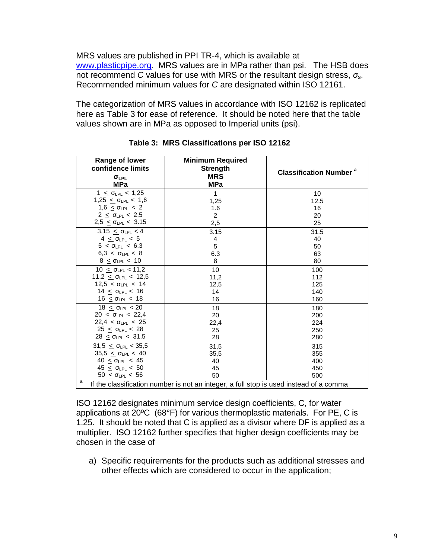MRS values are published in PPI TR-4, which is available at [www.plasticpipe.org](http://www.plasticpipe.org/)*.* MRS values are in MPa rather than psi. The HSB does not recommend *C* values for use with MRS or the resultant design stress, *σ*s. Recommended minimum values for *C* are designated within ISO 12161.

The categorization of MRS values in accordance with ISO 12162 is replicated here as Table 3 for ease of reference. It should be noted here that the table values shown are in MPa as opposed to Imperial units (psi).

| Range of lower<br>confidence limits<br>$\sigma_{LPL}$<br><b>MPa</b>                         | <b>Minimum Required</b><br><b>Strength</b><br><b>MRS</b><br><b>MPa</b> | <b>Classification Number<sup>a</sup></b> |  |
|---------------------------------------------------------------------------------------------|------------------------------------------------------------------------|------------------------------------------|--|
| $1 \leq \sigma_{LPL} < 1,25$                                                                | $\mathbf{1}$                                                           | 10                                       |  |
| 1,25 $\leq$ OLPL $< 1,6$                                                                    | 1,25                                                                   | 12.5                                     |  |
| $1.6 < \sigma_{LPL} < 2$                                                                    | 1.6                                                                    | 16                                       |  |
| $2 < \sigma_{LPL} < 2.5$                                                                    | $\overline{2}$                                                         | 20                                       |  |
| $2,5 < \sigma_{LPL} < 3.15$                                                                 | 2,5                                                                    | 25                                       |  |
| 3,15 $\leq$ $\sigma_{LPL}$ < 4                                                              | 3.15                                                                   | 31.5                                     |  |
| $4 < \sigma_{\text{IPI}} < 5$                                                               | 4                                                                      | 40                                       |  |
| $5 \le \sigma_{LPL} < 6.3$                                                                  | 5                                                                      | 50                                       |  |
| 6,3 $\leq$ 0 <sub>LPL</sub> < 8                                                             | 6.3                                                                    | 63                                       |  |
| $8 \leq \sigma_{LPL} < 10$                                                                  | 8                                                                      | 80                                       |  |
| $10 < \sigma_{LPL} < 11.2$                                                                  | 10                                                                     | 100                                      |  |
| $11,2 < \sigma_{LPL} < 12,5$                                                                | 11,2                                                                   | 112                                      |  |
| $12,5 \leq \sigma_{LPL} < 14$                                                               | 12,5                                                                   | 125                                      |  |
| 14 <u>&lt;</u> σ <sub>LPL</sub> < 16                                                        | 14                                                                     | 140                                      |  |
| $16 \leq \sigma_{LPL} < 18$                                                                 | 16                                                                     | 160                                      |  |
| $18 < \sigma_{LPL} < 20$                                                                    | 18                                                                     | 180                                      |  |
| $20 \leq \sigma_{LPL} < 22.4$                                                               | 20                                                                     | 200                                      |  |
| $22,4 \leq \sigma_{LPL} < 25$                                                               | 22,4                                                                   | 224                                      |  |
| $25 < \sigma_{LPL} < 28$                                                                    | 25                                                                     | 250                                      |  |
| $28 \leq \sigma_{LPL} < 31.5$                                                               | 28                                                                     | 280                                      |  |
| $31,5 \leq \sigma_{LPL} < 35,5$                                                             | 31,5                                                                   | 315                                      |  |
| $35,5 \leq \sigma_{LPL} < 40$                                                               | 35,5                                                                   | 355                                      |  |
| $40 < \sigma_{LPL} < 45$                                                                    | 40                                                                     | 400                                      |  |
| $45 < \sigma_{LPL} < 50$                                                                    | 45                                                                     | 450                                      |  |
| $50 \leq \sigma_{LPL} < 56$                                                                 | 50                                                                     | 500                                      |  |
| a<br>If the classification number is not an integer, a full stop is used instead of a comma |                                                                        |                                          |  |

**Table 3: MRS Classifications per ISO 12162**

ISO 12162 designates minimum service design coefficients, C, for water applications at 20ºC (68°F) for various thermoplastic materials. For PE, C is 1.25. It should be noted that C is applied as a divisor where DF is applied as a multiplier. ISO 12162 further specifies that higher design coefficients may be chosen in the case of

a) Specific requirements for the products such as additional stresses and other effects which are considered to occur in the application;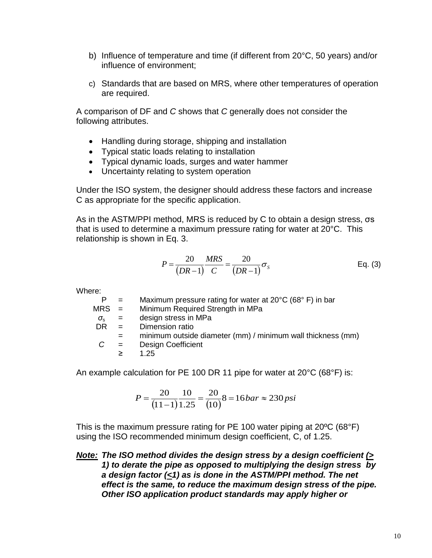- b) Influence of temperature and time (if different from 20°C, 50 years) and/or influence of environment;
- c) Standards that are based on MRS, where other temperatures of operation are required.

A comparison of DF and *C* shows that *C* generally does not consider the following attributes.

- Handling during storage, shipping and installation
- Typical static loads relating to installation
- Typical dynamic loads, surges and water hammer
- Uncertainty relating to system operation

Under the ISO system, the designer should address these factors and increase C as appropriate for the specific application.

As in the ASTM/PPI method, MRS is reduced by C to obtain a design stress, σs that is used to determine a maximum pressure rating for water at 20°C. This relationship is shown in Eq. 3.

$$
P = \frac{20}{(DR - 1)} \frac{MRS}{C} = \frac{20}{(DR - 1)} \sigma_s
$$
 Eq. (3)

Where:

| $\equiv$                  | Maximum pressure rating for water at 20°C (68°F) in bar     |
|---------------------------|-------------------------------------------------------------|
| $MRS =$                   | Minimum Required Strength in MPa                            |
| $\mathbf{r} = \mathbf{r}$ | design stress in MPa                                        |
| $=$                       | Dimension ratio                                             |
| $=$                       | minimum outside diameter (mm) / minimum wall thickness (mm) |
| $=$                       | <b>Design Coefficient</b>                                   |
| ⋗                         | 1.25                                                        |
|                           |                                                             |

An example calculation for PE 100 DR 11 pipe for water at 20°C (68°F) is:

$$
P = \frac{20}{(11-1)}\frac{10}{1.25} = \frac{20}{(10)}8 = 16bar \approx 230psi
$$

This is the maximum pressure rating for PE 100 water piping at 20ºC (68°F) using the ISO recommended minimum design coefficient, C, of 1.25.

*Note: The ISO method divides the design stress by a design coefficient (> 1) to derate the pipe as opposed to multiplying the design stress by a design factor (<1) as is done in the ASTM/PPI method. The net effect is the same, to reduce the maximum design stress of the pipe. Other ISO application product standards may apply higher or*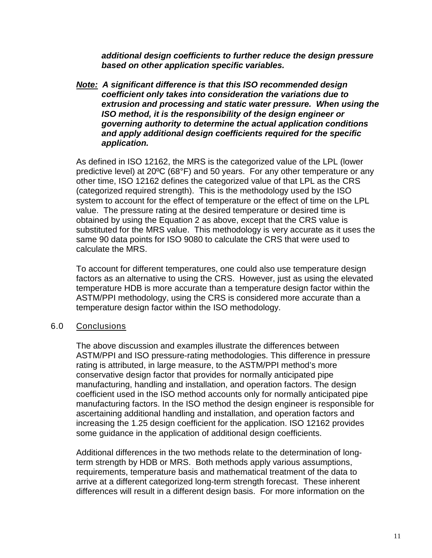*additional design coefficients to further reduce the design pressure based on other application specific variables.*

*Note: A significant difference is that this ISO recommended design coefficient only takes into consideration the variations due to extrusion and processing and static water pressure. When using the ISO method, it is the responsibility of the design engineer or governing authority to determine the actual application conditions and apply additional design coefficients required for the specific application.*

As defined in ISO 12162, the MRS is the categorized value of the LPL (lower predictive level) at 20ºC (68°F) and 50 years. For any other temperature or any other time, ISO 12162 defines the categorized value of that LPL as the CRS (categorized required strength). This is the methodology used by the ISO system to account for the effect of temperature or the effect of time on the LPL value. The pressure rating at the desired temperature or desired time is obtained by using the Equation 2 as above, except that the CRS value is substituted for the MRS value. This methodology is very accurate as it uses the same 90 data points for ISO 9080 to calculate the CRS that were used to calculate the MRS.

To account for different temperatures, one could also use temperature design factors as an alternative to using the CRS. However, just as using the elevated temperature HDB is more accurate than a temperature design factor within the ASTM/PPI methodology, using the CRS is considered more accurate than a temperature design factor within the ISO methodology.

#### 6.0 Conclusions

The above discussion and examples illustrate the differences between ASTM/PPI and ISO pressure-rating methodologies. This difference in pressure rating is attributed, in large measure, to the ASTM/PPI method's more conservative design factor that provides for normally anticipated pipe manufacturing, handling and installation, and operation factors. The design coefficient used in the ISO method accounts only for normally anticipated pipe manufacturing factors. In the ISO method the design engineer is responsible for ascertaining additional handling and installation, and operation factors and increasing the 1.25 design coefficient for the application. ISO 12162 provides some guidance in the application of additional design coefficients.

Additional differences in the two methods relate to the determination of longterm strength by HDB or MRS. Both methods apply various assumptions, requirements, temperature basis and mathematical treatment of the data to arrive at a different categorized long-term strength forecast. These inherent differences will result in a different design basis. For more information on the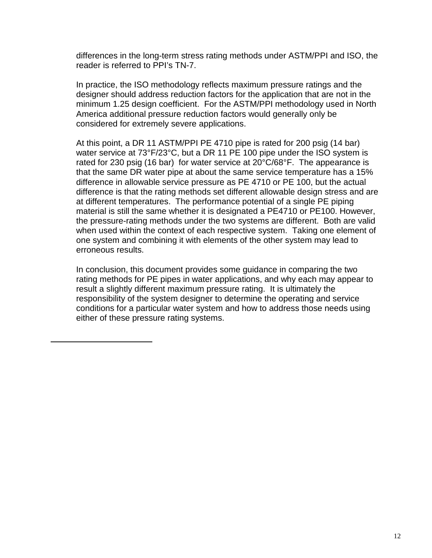differences in the long-term stress rating methods under ASTM/PPI and ISO, the reader is referred to PPI's TN-7.

In practice, the ISO methodology reflects maximum pressure ratings and the designer should address reduction factors for the application that are not in the minimum 1.25 design coefficient. For the ASTM/PPI methodology used in North America additional pressure reduction factors would generally only be considered for extremely severe applications.

At this point, a DR 11 ASTM/PPI PE 4710 pipe is rated for 200 psig (14 bar) water service at 73°F/23°C, but a DR 11 PE 100 pipe under the ISO system is rated for 230 psig (16 bar) for water service at 20°C/68°F. The appearance is that the same DR water pipe at about the same service temperature has a 15% difference in allowable service pressure as PE 4710 or PE 100, but the actual difference is that the rating methods set different allowable design stress and are at different temperatures. The performance potential of a single PE piping material is still the same whether it is designated a PE4710 or PE100. However, the pressure-rating methods under the two systems are different. Both are valid when used within the context of each respective system. Taking one element of one system and combining it with elements of the other system may lead to erroneous results.

In conclusion, this document provides some guidance in comparing the two rating methods for PE pipes in water applications, and why each may appear to result a slightly different maximum pressure rating. It is ultimately the responsibility of the system designer to determine the operating and service conditions for a particular water system and how to address those needs using either of these pressure rating systems.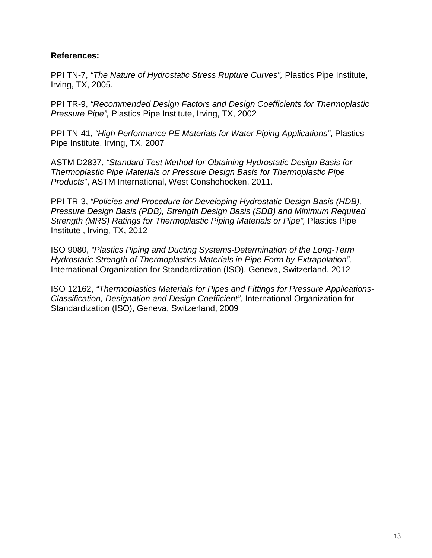## **References:**

PPI TN-7, *"The Nature of Hydrostatic Stress Rupture Curves",* Plastics Pipe Institute, Irving, TX, 2005.

PPI TR-9, *"Recommended Design Factors and Design Coefficients for Thermoplastic Pressure Pipe",* Plastics Pipe Institute, Irving, TX, 2002

PPI TN-41, *"High Performance PE Materials for Water Piping Applications"*, Plastics Pipe Institute, Irving, TX, 2007

ASTM D2837, *"Standard Test Method for Obtaining Hydrostatic Design Basis for Thermoplastic Pipe Materials or Pressure Design Basis for Thermoplastic Pipe Products*", ASTM International, West Conshohocken, 2011.

PPI TR-3, *"Policies and Procedure for Developing Hydrostatic Design Basis (HDB), Pressure Design Basis (PDB), Strength Design Basis (SDB) and Minimum Required Strength (MRS) Ratings for Thermoplastic Piping Materials or Pipe",* Plastics Pipe Institute , Irving, TX, 2012

ISO 9080, *"Plastics Piping and Ducting Systems-Determination of the Long-Term Hydrostatic Strength of Thermoplastics Materials in Pipe Form by Extrapolation",* International Organization for Standardization (ISO), Geneva, Switzerland, 2012

ISO 12162, *"Thermoplastics Materials for Pipes and Fittings for Pressure Applications-Classification, Designation and Design Coefficient",* International Organization for Standardization (ISO), Geneva, Switzerland, 2009